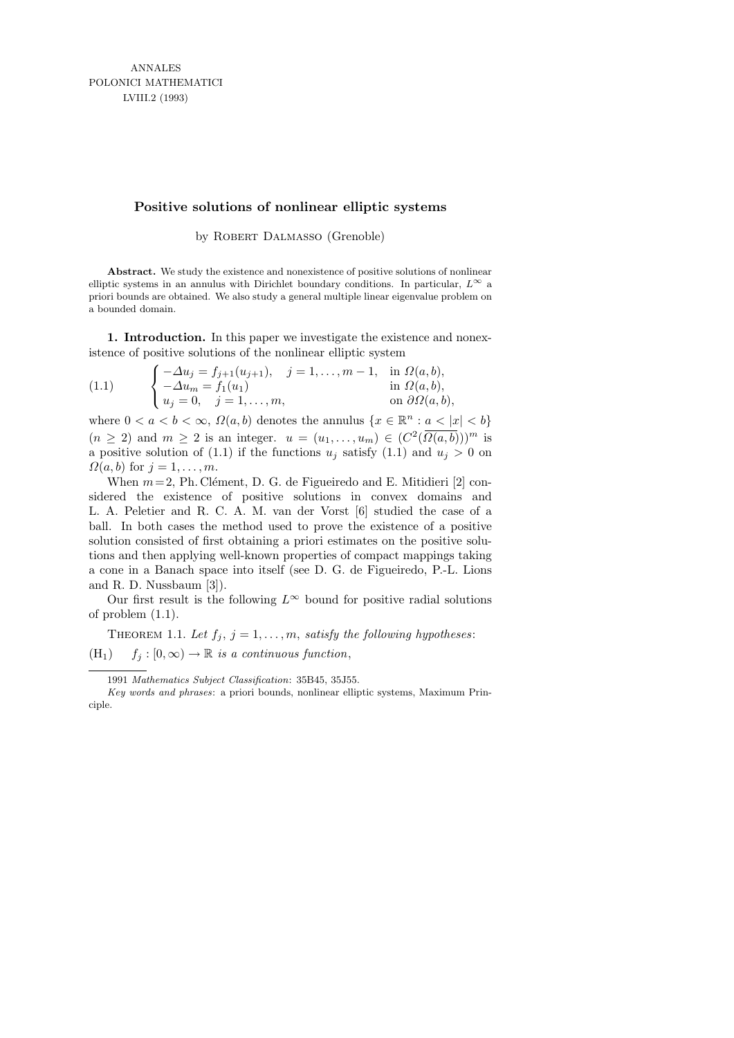# **Positive solutions of nonlinear elliptic systems**

by ROBERT DALMASSO (Grenoble)

**Abstract.** We study the existence and nonexistence of positive solutions of nonlinear elliptic systems in an annulus with Dirichlet boundary conditions. In particular,  $L^{\infty}$  a priori bounds are obtained. We also study a general multiple linear eigenvalue problem on a bounded domain.

1. Introduction. In this paper we investigate the existence and nonexistence of positive solutions of the nonlinear elliptic system

(1.1) 
$$
\begin{cases}\n-\Delta u_j = f_{j+1}(u_{j+1}), & j = 1, ..., m-1, \text{ in } \Omega(a, b), \\
-\Delta u_m = f_1(u_1) & \text{ in } \Omega(a, b), \\
u_j = 0, & j = 1, ..., m,\n\end{cases}
$$

where  $0 < a < b < \infty$ ,  $\Omega(a, b)$  denotes the annulus  $\{x \in \mathbb{R}^n : a < |x| < b\}$  $(n \geq 2)$  and  $m \geq 2$  is an integer.  $u = (u_1, \ldots, u_m) \in (C^2(\overline{\Omega(a, b)}))^m$  is a positive solution of (1.1) if the functions  $u_j$  satisfy (1.1) and  $u_j > 0$  on  $\Omega(a, b)$  for  $j = 1, \ldots, m$ .

When  $m = 2$ , Ph. Clément, D. G. de Figueiredo and E. Mitidieri [2] considered the existence of positive solutions in convex domains and L. A. Peletier and R. C. A. M. van der Vorst [6] studied the case of a ball. In both cases the method used to prove the existence of a positive solution consisted of first obtaining a priori estimates on the positive solutions and then applying well-known properties of compact mappings taking a cone in a Banach space into itself (see D. G. de Figueiredo, P.-L. Lions and R. D. Nussbaum [3]).

Our first result is the following  $L^{\infty}$  bound for positive radial solutions of problem (1.1).

THEOREM 1.1. Let  $f_j$ ,  $j = 1, \ldots, m$ , satisfy the following hypotheses:  $(H_1)$   $f_j : [0, \infty) \to \mathbb{R}$  is a continuous function,

<sup>1991</sup> *Mathematics Subject Classification*: 35B45, 35J55.

*Key words and phrases*: a priori bounds, nonlinear elliptic systems, Maximum Principle.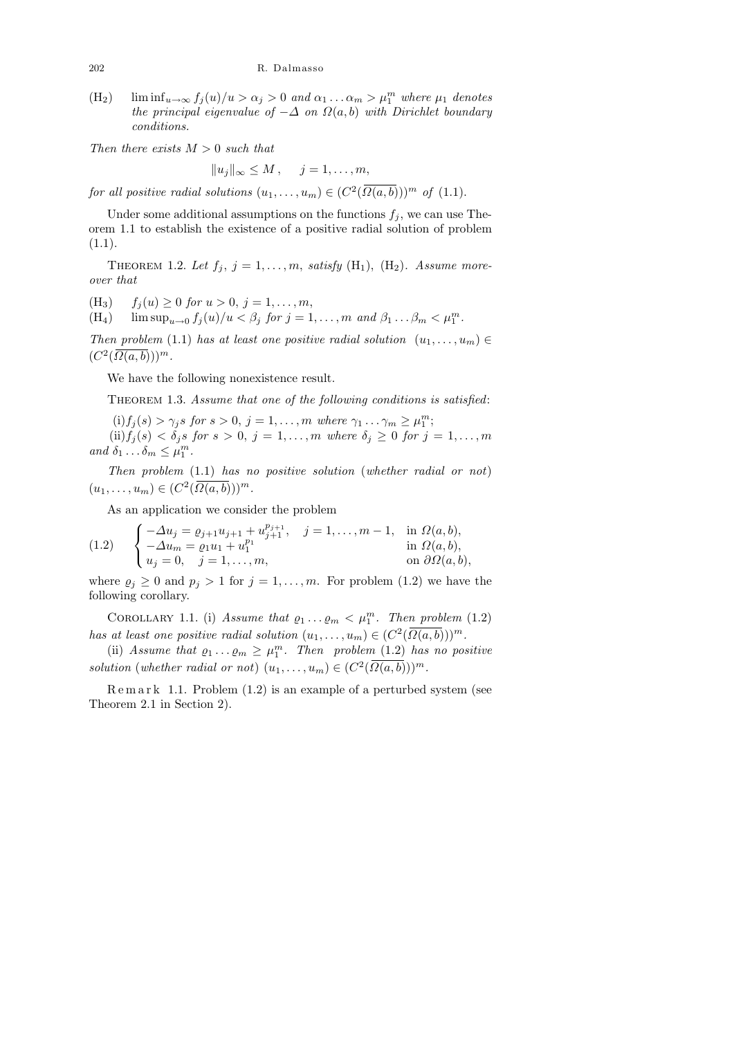$(H_2)$  lim  $\inf_{u\to\infty} f_j(u)/u > \alpha_j > 0$  and  $\alpha_1 \dots \alpha_m > \mu_1^m$  where  $\mu_1$  denotes the principal eigenvalue of  $-\Delta$  on  $\Omega(a, b)$  with Dirichlet boundary conditions.

Then there exists  $M > 0$  such that

$$
||u_j||_{\infty} \leq M, \quad j = 1, \ldots, m,
$$

for all positive radial solutions  $(u_1, \ldots, u_m) \in (C^2(\overline{\Omega(a, b)}))^m$  of  $(1.1)$ .

Under some additional assumptions on the functions  $f_j$ , we can use Theorem 1.1 to establish the existence of a positive radial solution of problem (1.1).

THEOREM 1.2. Let  $f_j$ ,  $j = 1, \ldots, m$ , satisfy  $(H_1)$ ,  $(H_2)$ . Assume moreover that

(H<sub>3</sub>)  $f_j (u) \geq 0$  for  $u > 0$ ,  $j = 1, ..., m$ ,

 $(H_4)$  lim  $\sup_{u\to 0} f_j(u)/u < \beta_j$  for  $j = 1, \ldots, m$  and  $\beta_1 \ldots \beta_m < \mu_1^m$ .

Then problem (1.1) has at least one positive radial solution  $(u_1, \ldots, u_m) \in$  $(C^2(\overline{\Omega(a,b)}))^m$ .

We have the following nonexistence result.

THEOREM 1.3. Assume that one of the following conditions is satisfied:

(i)  $f_j(s) > \gamma_j s$  for  $s > 0$ ,  $j = 1, ..., m$  where  $\gamma_1 ... \gamma_m \geq \mu_1^m$ ; (ii)  $f_j(s) < \delta_j s$  for  $s > 0$ ,  $j = 1, \ldots, m$  where  $\delta_j \geq 0$  for  $j = 1, \ldots, m$ and  $\delta_1 \ldots \delta_m \leq \mu_1^m$ .

Then problem (1.1) has no positive solution (whether radial or not)  $(u_1, \ldots, u_m) \in (C^2(\overline{\Omega(a, b)}))^m.$ 

As an application we consider the problem

(1.2) 
$$
\begin{cases}\n-\Delta u_j = \varrho_{j+1} u_{j+1} + u_{j+1}^{p_{j+1}}, & j = 1, ..., m-1, \text{ in } \Omega(a, b), \\
-\Delta u_m = \varrho_1 u_1 + u_1^{p_1} & \text{ in } \Omega(a, b), \\
u_j = 0, & j = 1, ..., m, \text{ on } \partial\Omega(a, b),\n\end{cases}
$$

where  $\rho_j \geq 0$  and  $p_j > 1$  for  $j = 1, ..., m$ . For problem (1.2) we have the following corollary.

COROLLARY 1.1. (i) Assume that  $\rho_1 \dots \rho_m < \mu_1^m$ . Then problem (1.2) has at least one positive radial solution  $(u_1, \ldots, u_m) \in (C^2(\overline{\Omega(a,b)}))^m$ .

(ii) Assume that  $\rho_1 \ldots \rho_m \geq \mu_1^m$ . Then problem (1.2) has no positive solution (whether radial or not)  $(u_1, \ldots, u_m) \in (C^2(\overline{\Omega(a,b)}))^m$ .

 $R$ e m a r k 1.1. Problem  $(1.2)$  is an example of a perturbed system (see Theorem 2.1 in Section 2).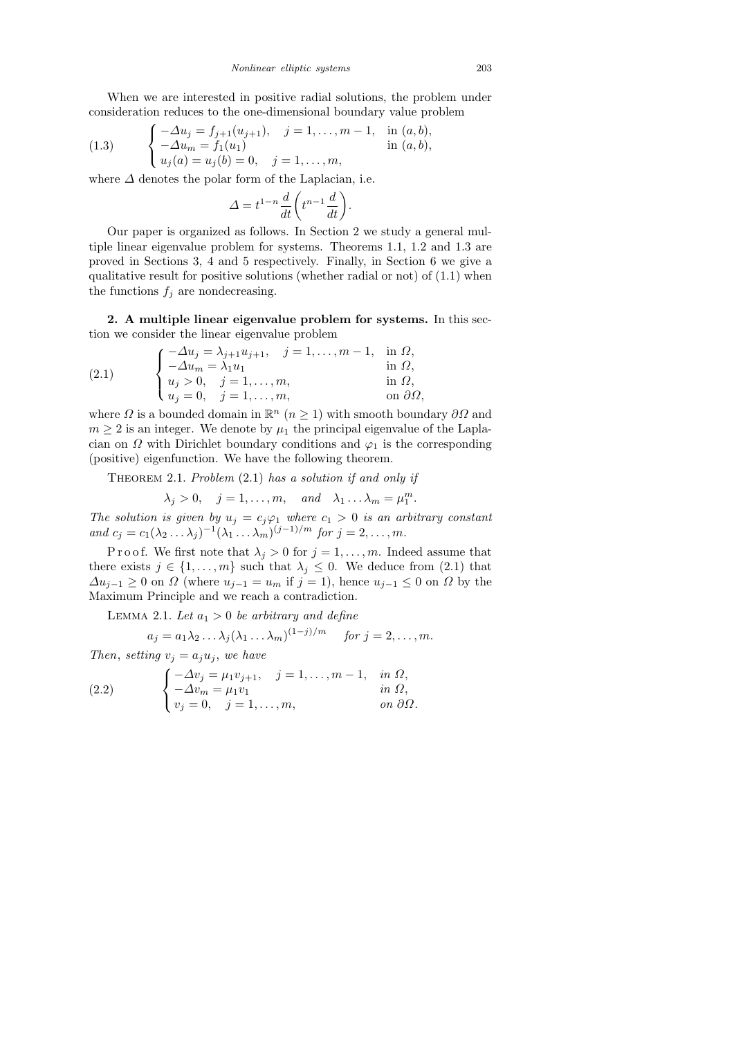When we are interested in positive radial solutions, the problem under consideration reduces to the one-dimensional boundary value problem

(1.3) 
$$
\begin{cases}\n-\Delta u_j = f_{j+1}(u_{j+1}), & j = 1, ..., m-1, \text{ in } (a, b), \\
-\Delta u_m = f_1(u_1) & \text{in } (a, b), \\
u_j(a) = u_j(b) = 0, & j = 1, ..., m,\n\end{cases}
$$

where  $\Delta$  denotes the polar form of the Laplacian, i.e.

$$
\Delta = t^{1-n} \frac{d}{dt} \bigg( t^{n-1} \frac{d}{dt} \bigg).
$$

Our paper is organized as follows. In Section 2 we study a general multiple linear eigenvalue problem for systems. Theorems 1.1, 1.2 and 1.3 are proved in Sections 3, 4 and 5 respectively. Finally, in Section 6 we give a qualitative result for positive solutions (whether radial or not) of (1.1) when the functions  $f_j$  are nondecreasing.

2. A multiple linear eigenvalue problem for systems. In this section we consider the linear eigenvalue problem

(2.1) 
$$
\begin{cases}\n-\Delta u_j = \lambda_{j+1} u_{j+1}, & j = 1, ..., m-1, \text{ in } \Omega, \\
-\Delta u_m = \lambda_1 u_1 & \text{ in } \Omega, \\
u_j > 0, & j = 1, ..., m, \text{ in } \Omega, \\
u_j = 0, & j = 1, ..., m, \text{ on } \partial \Omega,\n\end{cases}
$$

where  $\Omega$  is a bounded domain in  $\mathbb{R}^n$   $(n \geq 1)$  with smooth boundary  $\partial\Omega$  and  $m \geq 2$  is an integer. We denote by  $\mu_1$  the principal eigenvalue of the Laplacian on  $\Omega$  with Dirichlet boundary conditions and  $\varphi_1$  is the corresponding (positive) eigenfunction. We have the following theorem.

THEOREM 2.1. Problem  $(2.1)$  has a solution if and only if

$$
\lambda_j > 0
$$
,  $j = 1, ..., m$ , and  $\lambda_1 ... \lambda_m = \mu_1^m$ .

The solution is given by  $u_j = c_j \varphi_1$  where  $c_1 > 0$  is an arbitrary constant and  $c_j = c_1(\lambda_2 \ldots \lambda_j)^{-1}(\lambda_1 \ldots \lambda_m)^{(j-1)/m}$  for  $j = 2, \ldots, m$ .

P r o o f. We first note that  $\lambda_j > 0$  for  $j = 1, ..., m$ . Indeed assume that there exists  $j \in \{1, \ldots, m\}$  such that  $\lambda_j \leq 0$ . We deduce from (2.1) that  $\Delta u_{j-1} \geq 0$  on  $\Omega$  (where  $u_{j-1} = u_m$  if  $j = 1$ ), hence  $u_{j-1} \leq 0$  on  $\Omega$  by the Maximum Principle and we reach a contradiction.

LEMMA 2.1. Let  $a_1 > 0$  be arbitrary and define

$$
a_j = a_1 \lambda_2 \dots \lambda_j (\lambda_1 \dots \lambda_m)^{(1-j)/m} \quad \text{for } j = 2, \dots, m.
$$

Then, setting  $v_i = a_i u_i$ , we have

(2.2) 
$$
\begin{cases}\n-\Delta v_j = \mu_1 v_{j+1}, & j = 1, \dots, m-1, & \text{in } \Omega, \\
-\Delta v_m = \mu_1 v_1 & \text{in } \Omega, \\
v_j = 0, & j = 1, \dots, m, & \text{on } \partial \Omega.\n\end{cases}
$$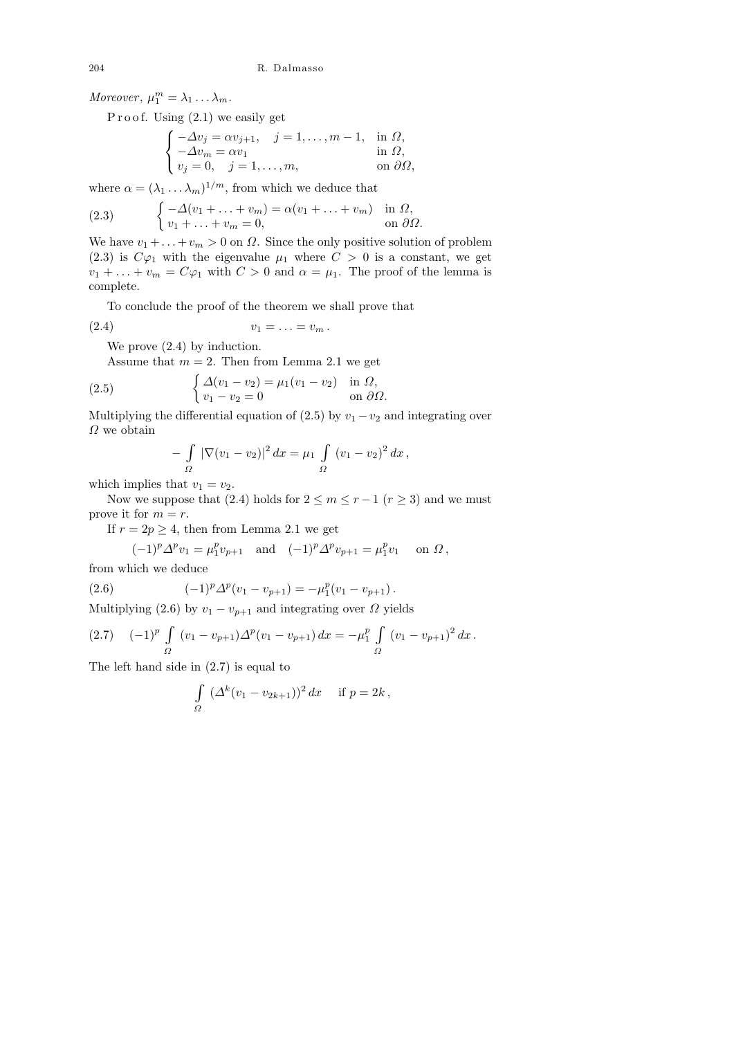Moreover,  $\mu_1^m = \lambda_1 \dots \lambda_m$ .

P r o o f. Using  $(2.1)$  we easily get

$$
\begin{cases}\n-\Delta v_j = \alpha v_{j+1}, & j = 1, ..., m-1, \text{ in } \Omega, \\
-\Delta v_m = \alpha v_1 & \text{ in } \Omega, \\
v_j = 0, & j = 1, ..., m,\n\end{cases}
$$

where  $\alpha = (\lambda_1 \dots \lambda_m)^{1/m}$ , from which we deduce that

(2.3) 
$$
\begin{cases}\n-\Delta(v_1 + \ldots + v_m) = \alpha(v_1 + \ldots + v_m) & \text{in } \Omega, \\
v_1 + \ldots + v_m = 0, & \text{on } \partial\Omega.\n\end{cases}
$$

We have  $v_1 + \ldots + v_m > 0$  on  $\Omega$ . Since the only positive solution of problem (2.3) is  $C\varphi_1$  with the eigenvalue  $\mu_1$  where  $C > 0$  is a constant, we get  $v_1 + \ldots + v_m = C\varphi_1$  with  $C > 0$  and  $\alpha = \mu_1$ . The proof of the lemma is complete.

To conclude the proof of the theorem we shall prove that

$$
(2.4) \t v_1 = \ldots = v_m.
$$

We prove (2.4) by induction.

Assume that  $m = 2$ . Then from Lemma 2.1 we get

(2.5) 
$$
\begin{cases} \Delta(v_1 - v_2) = \mu_1(v_1 - v_2) & \text{in } \Omega, \\ v_1 - v_2 = 0 & \text{on } \partial\Omega. \end{cases}
$$

Multiplying the differential equation of (2.5) by  $v_1 - v_2$  and integrating over  $\varOmega$  we obtain

$$
-\int_{\Omega} |\nabla (v_1 - v_2)|^2 dx = \mu_1 \int_{\Omega} (v_1 - v_2)^2 dx,
$$

which implies that  $v_1 = v_2$ .

Now we suppose that (2.4) holds for  $2 \le m \le r - 1$  ( $r \ge 3$ ) and we must prove it for  $m = r$ .

If  $r = 2p \geq 4$ , then from Lemma 2.1 we get

$$
(-1)^p \Delta^p v_1 = \mu_1^p v_{p+1} \quad \text{and} \quad (-1)^p \Delta^p v_{p+1} = \mu_1^p v_1 \quad \text{ on } \Omega,
$$

from which we deduce

(2.6) 
$$
(-1)^p \Delta^p (v_1 - v_{p+1}) = -\mu_1^p (v_1 - v_{p+1}).
$$

Multiplying (2.6) by  $v_1 - v_{p+1}$  and integrating over  $\Omega$  yields

$$
(2.7) \quad (-1)^p \int_{\Omega} (v_1 - v_{p+1}) \Delta^p (v_1 - v_{p+1}) \, dx = -\mu_1^p \int_{\Omega} (v_1 - v_{p+1})^2 \, dx \, .
$$

The left hand side in (2.7) is equal to

$$
\int_{\Omega} \left( \Delta^k (v_1 - v_{2k+1}) \right)^2 dx \quad \text{if } p = 2k,
$$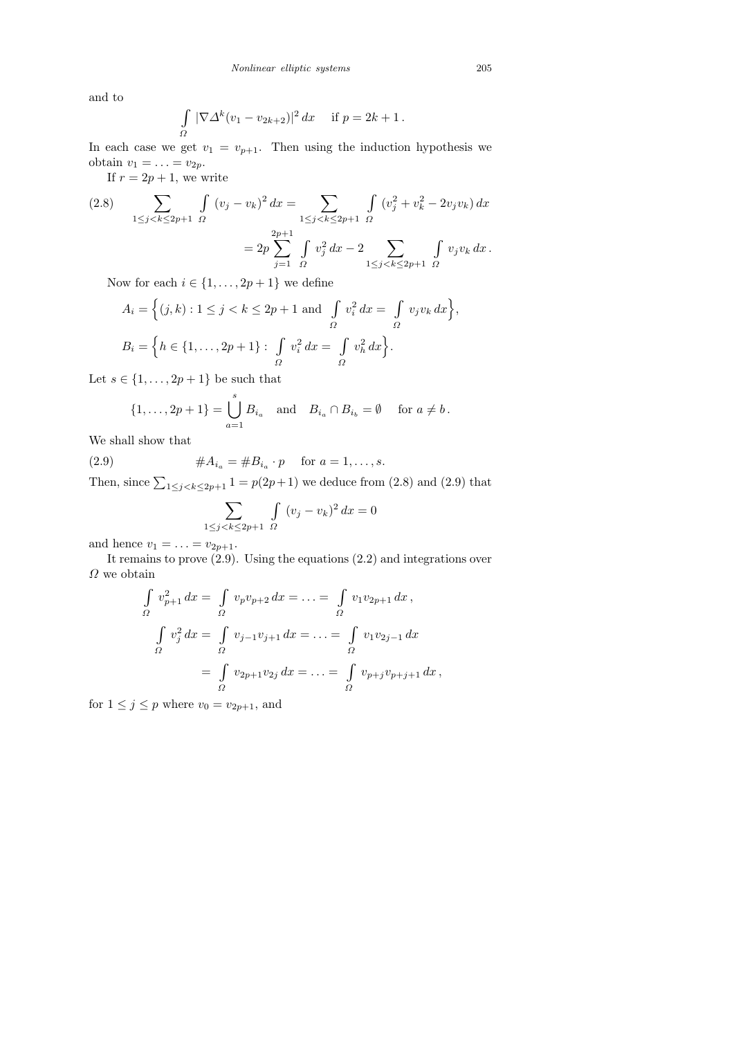and to

$$
\int_{\Omega} |\nabla \Delta^k (v_1 - v_{2k+2})|^2 dx \quad \text{if } p = 2k+1.
$$

In each case we get  $v_1 = v_{p+1}$ . Then using the induction hypothesis we obtain  $v_1 = \ldots = v_{2p}$ .

If  $r = 2p + 1$ , we write

$$
(2.8) \qquad \sum_{1 \le j < k \le 2p+1} \int_{\Omega} (v_j - v_k)^2 \, dx = \sum_{1 \le j < k \le 2p+1} \int_{\Omega} (v_j^2 + v_k^2 - 2v_j v_k) \, dx
$$
\n
$$
= 2p \sum_{j=1}^{2p+1} \int_{\Omega} v_j^2 \, dx - 2 \sum_{1 \le j < k \le 2p+1} \int_{\Omega} v_j v_k \, dx \, .
$$

Now for each  $i \in \{1, \ldots, 2p+1\}$  we define

$$
A_i = \left\{ (j, k) : 1 \le j < k \le 2p + 1 \text{ and } \int_{\Omega} v_i^2 \, dx = \int_{\Omega} v_j v_k \, dx \right\},
$$
\n
$$
B_i = \left\{ h \in \{1, \dots, 2p + 1\} : \int_{\Omega} v_i^2 \, dx = \int_{\Omega} v_h^2 \, dx \right\}.
$$

Let  $s \in \{1, \ldots, 2p+1\}$  be such that

$$
\{1, ..., 2p + 1\} = \bigcup_{a=1}^{s} B_{i_a} \text{ and } B_{i_a} \cap B_{i_b} = \emptyset \text{ for } a \neq b.
$$

We shall show that

(2.9)  $\#A_{i_a} = \#B_{i_a} \cdot p \quad \text{for } a = 1, \dots, s.$ 

Then, since  $\sum_{1 \le j \le k \le 2p+1} 1 = p(2p+1)$  we deduce from (2.8) and (2.9) that

$$
\sum_{1 \le j < k \le 2p+1} \int_{\Omega} (v_j - v_k)^2 \, dx = 0
$$

and hence  $v_1 = \ldots = v_{2p+1}$ .

It remains to prove  $(2.9)$ . Using the equations  $(2.2)$  and integrations over  $\varOmega$  we obtain

$$
\int_{\Omega} v_{p+1}^2 dx = \int_{\Omega} v_p v_{p+2} dx = \dots = \int_{\Omega} v_1 v_{2p+1} dx,
$$
  

$$
\int_{\Omega} v_j^2 dx = \int_{\Omega} v_{j-1} v_{j+1} dx = \dots = \int_{\Omega} v_1 v_{2j-1} dx
$$
  

$$
= \int_{\Omega} v_{2p+1} v_{2j} dx = \dots = \int_{\Omega} v_{p+j} v_{p+j+1} dx,
$$

for  $1 \leq j \leq p$  where  $v_0 = v_{2p+1}$ , and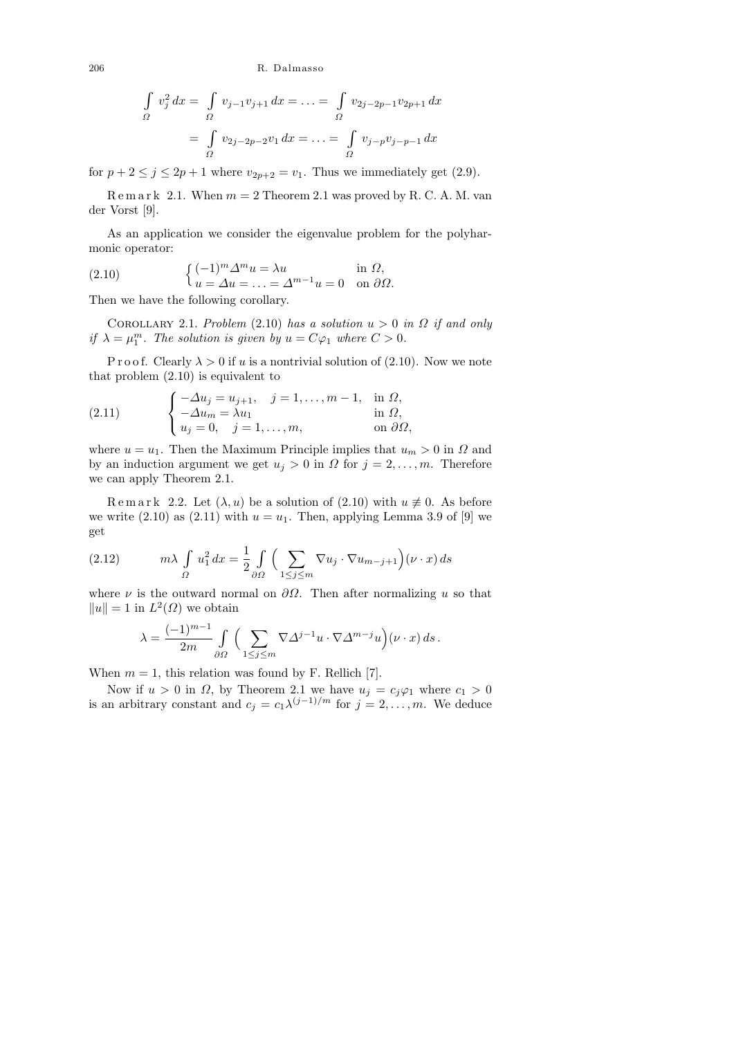$$
\int_{\Omega} v_j^2 dx = \int_{\Omega} v_{j-1}v_{j+1} dx = \dots = \int_{\Omega} v_{2j-2p-1}v_{2p+1} dx
$$

$$
= \int_{\Omega} v_{2j-2p-2}v_1 dx = \dots = \int_{\Omega} v_{j-p}v_{j-p-1} dx
$$

for  $p + 2 \le j \le 2p + 1$  where  $v_{2p+2} = v_1$ . Thus we immediately get (2.9).

 $R$  e m a r k 2.1. When  $m = 2$  Theorem 2.1 was proved by R. C. A. M. van der Vorst [9].

As an application we consider the eigenvalue problem for the polyharmonic operator:

(2.10) 
$$
\begin{cases} (-1)^m \Delta^m u = \lambda u & \text{in } \Omega, \\ u = \Delta u = \ldots = \Delta^{m-1} u = 0 & \text{on } \partial \Omega. \end{cases}
$$

Then we have the following corollary.

COROLLARY 2.1. Problem (2.10) has a solution  $u > 0$  in  $\Omega$  if and only if  $\lambda = \mu_1^m$ . The solution is given by  $u = C\varphi_1$  where  $C > 0$ .

P r o o f. Clearly  $\lambda > 0$  if u is a nontrivial solution of (2.10). Now we note that problem (2.10) is equivalent to

(2.11) 
$$
\begin{cases}\n-\Delta u_j = u_{j+1}, & j = 1, \dots, m-1, \text{ in } \Omega, \\
-\Delta u_m = \lambda u_1 & \text{ in } \Omega, \\
u_j = 0, & j = 1, \dots, m,\n\end{cases}
$$

where  $u = u_1$ . Then the Maximum Principle implies that  $u_m > 0$  in  $\Omega$  and by an induction argument we get  $u_j > 0$  in  $\Omega$  for  $j = 2, \ldots, m$ . Therefore we can apply Theorem 2.1.

Remark 2.2. Let  $(\lambda, u)$  be a solution of  $(2.10)$  with  $u \neq 0$ . As before we write  $(2.10)$  as  $(2.11)$  with  $u = u_1$ . Then, applying Lemma 3.9 of [9] we get

(2.12) 
$$
m\lambda \int_{\Omega} u_1^2 dx = \frac{1}{2} \int_{\partial \Omega} \Big( \sum_{1 \le j \le m} \nabla u_j \cdot \nabla u_{m-j+1} \Big) (\nu \cdot x) ds
$$

where  $\nu$  is the outward normal on  $\partial\Omega$ . Then after normalizing u so that  $||u|| = 1$  in  $L^2(\Omega)$  we obtain

$$
\lambda = \frac{(-1)^{m-1}}{2m} \int_{\partial\Omega} \Big( \sum_{1 \le j \le m} \nabla \Delta^{j-1} u \cdot \nabla \Delta^{m-j} u \Big) (\nu \cdot x) \, ds \, .
$$

When  $m = 1$ , this relation was found by F. Rellich [7].

Now if  $u > 0$  in  $\Omega$ , by Theorem 2.1 we have  $u_j = c_j \varphi_1$  where  $c_1 > 0$ is an arbitrary constant and  $c_j = c_1 \lambda^{(j-1)/m}$  for  $j = 2, \ldots, m$ . We deduce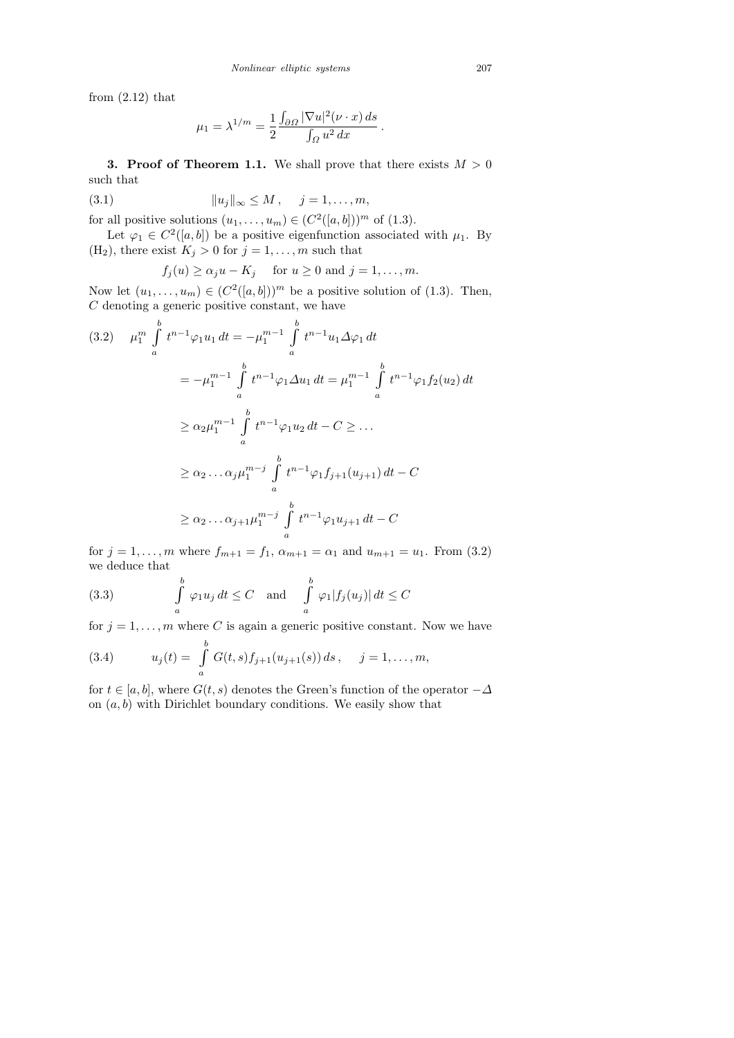from  $(2.12)$  that

$$
\mu_1 = \lambda^{1/m} = \frac{1}{2} \frac{\int_{\partial\Omega} |\nabla u|^2 (\nu \cdot x) ds}{\int_{\Omega} u^2 dx}.
$$

**3. Proof of Theorem 1.1.** We shall prove that there exists  $M > 0$ such that

(3.1) 
$$
||u_j||_{\infty} \le M, \quad j = 1, ..., m,
$$

for all positive solutions  $(u_1, \ldots, u_m) \in (C^2([a, b]))^m$  of  $(1.3)$ .

Let  $\varphi_1 \in C^2([a, b])$  be a positive eigenfunction associated with  $\mu_1$ . By (H<sub>2</sub>), there exist  $K_j > 0$  for  $j = 1, ..., m$  such that

$$
f_j(u) \ge \alpha_j u - K_j
$$
 for  $u \ge 0$  and  $j = 1, ..., m$ .

Now let  $(u_1, \ldots, u_m) \in (C^2([a, b]))^m$  be a positive solution of (1.3). Then,  $C$  denoting a generic positive constant, we have

$$
(3.2) \quad \mu_1^m \int_a^b t^{n-1} \varphi_1 u_1 dt = -\mu_1^{m-1} \int_a^b t^{n-1} u_1 \Delta \varphi_1 dt
$$
  

$$
= -\mu_1^{m-1} \int_a^b t^{n-1} \varphi_1 \Delta u_1 dt = \mu_1^{m-1} \int_a^b t^{n-1} \varphi_1 f_2(u_2) dt
$$
  

$$
\geq \alpha_2 \mu_1^{m-1} \int_a^b t^{n-1} \varphi_1 u_2 dt - C \geq \dots
$$
  

$$
\geq \alpha_2 \dots \alpha_j \mu_1^{m-j} \int_a^b t^{n-1} \varphi_1 f_{j+1}(u_{j+1}) dt - C
$$
  

$$
\geq \alpha_2 \dots \alpha_{j+1} \mu_1^{m-j} \int_a^b t^{n-1} \varphi_1 u_{j+1} dt - C
$$

for  $j = 1, ..., m$  where  $f_{m+1} = f_1$ ,  $\alpha_{m+1} = \alpha_1$  and  $u_{m+1} = u_1$ . From (3.2) we deduce that

(3.3) 
$$
\int_{a}^{b} \varphi_1 u_j dt \leq C \text{ and } \int_{a}^{b} \varphi_1 |f_j(u_j)| dt \leq C
$$

for  $j = 1, \ldots, m$  where C is again a generic positive constant. Now we have

(3.4) 
$$
u_j(t) = \int_a^b G(t,s) f_{j+1}(u_{j+1}(s)) ds, \quad j = 1, ..., m,
$$

for  $t \in [a, b]$ , where  $G(t, s)$  denotes the Green's function of the operator  $-\Delta$ on  $(a, b)$  with Dirichlet boundary conditions. We easily show that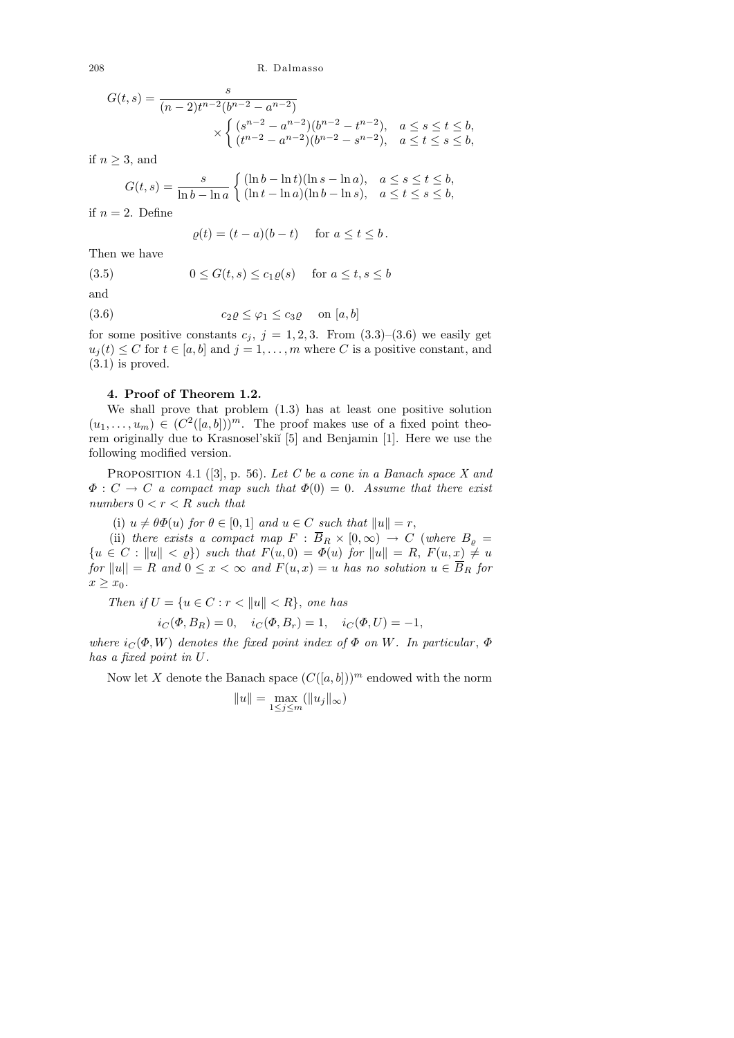$$
G(t,s) = \frac{s}{(n-2)t^{n-2}(b^{n-2} - a^{n-2})}
$$

$$
\times \begin{cases} (s^{n-2} - a^{n-2})(b^{n-2} - t^{n-2}), & a \le s \le t \le b, \\ (t^{n-2} - a^{n-2})(b^{n-2} - s^{n-2}), & a \le t \le s \le b, \end{cases}
$$

if  $n \geq 3$ , and

$$
G(t,s) = \frac{s}{\ln b - \ln a} \begin{cases} (\ln b - \ln t)(\ln s - \ln a), & a \le s \le t \le b, \\ (\ln t - \ln a)(\ln b - \ln s), & a \le t \le s \le b, \end{cases}
$$

if  $n = 2$ . Define

$$
\varrho(t) = (t - a)(b - t) \quad \text{for } a \le t \le b.
$$

Then we have

(3.5)  $0 \le G(t, s) \le c_1 \rho(s)$  for  $a \le t, s \le b$ 

and

$$
(3.6) \t\t\t c_2 \varrho \le \varphi_1 \le c_3 \varrho \quad \text{on } [a, b]
$$

for some positive constants  $c_i$ ,  $j = 1, 2, 3$ . From  $(3.3)$ – $(3.6)$  we easily get  $u_i(t) \leq C$  for  $t \in [a, b]$  and  $j = 1, \ldots, m$  where C is a positive constant, and (3.1) is proved.

# 4. Proof of Theorem 1.2.

We shall prove that problem (1.3) has at least one positive solution  $(u_1, \ldots, u_m) \in (C^2([a, b]))^m$ . The proof makes use of a fixed point theorem originally due to Krasnosel'ski˘ı [5] and Benjamin [1]. Here we use the following modified version.

PROPOSITION 4.1 ([3], p. 56). Let C be a cone in a Banach space X and  $\Phi: C \to C$  a compact map such that  $\Phi(0) = 0$ . Assume that there exist numbers  $0 < r < R$  such that

(i)  $u \neq \theta \Phi(u)$  for  $\theta \in [0,1]$  and  $u \in C$  such that  $||u|| = r$ ,

(ii) there exists a compact map  $F : \overline{B}_R \times [0,\infty) \to C$  (where  $B_{\varrho} =$  ${u \in C : \|u\| < \varrho}$  such that  $F(u, 0) = \varPhi(u)$  for  $||u|| = R$ ,  $F(u, x) \neq u$ for  $||u|| = R$  and  $0 \le x < \infty$  and  $F(u, x) = u$  has no solution  $u \in \overline{B}_R$  for  $x \geq x_0$ .

Then if  $U = \{u \in C : r < ||u|| < R\}$ , one has

$$
i_C(\Phi, B_R) = 0
$$
,  $i_C(\Phi, B_r) = 1$ ,  $i_C(\Phi, U) = -1$ ,

where  $i_C(\Phi, W)$  denotes the fixed point index of  $\Phi$  on W. In particular,  $\Phi$ has a fixed point in U.

Now let X denote the Banach space  $(C([a, b]))^m$  endowed with the norm

$$
||u|| = \max_{1 \le j \le m} (||u_j||_{\infty})
$$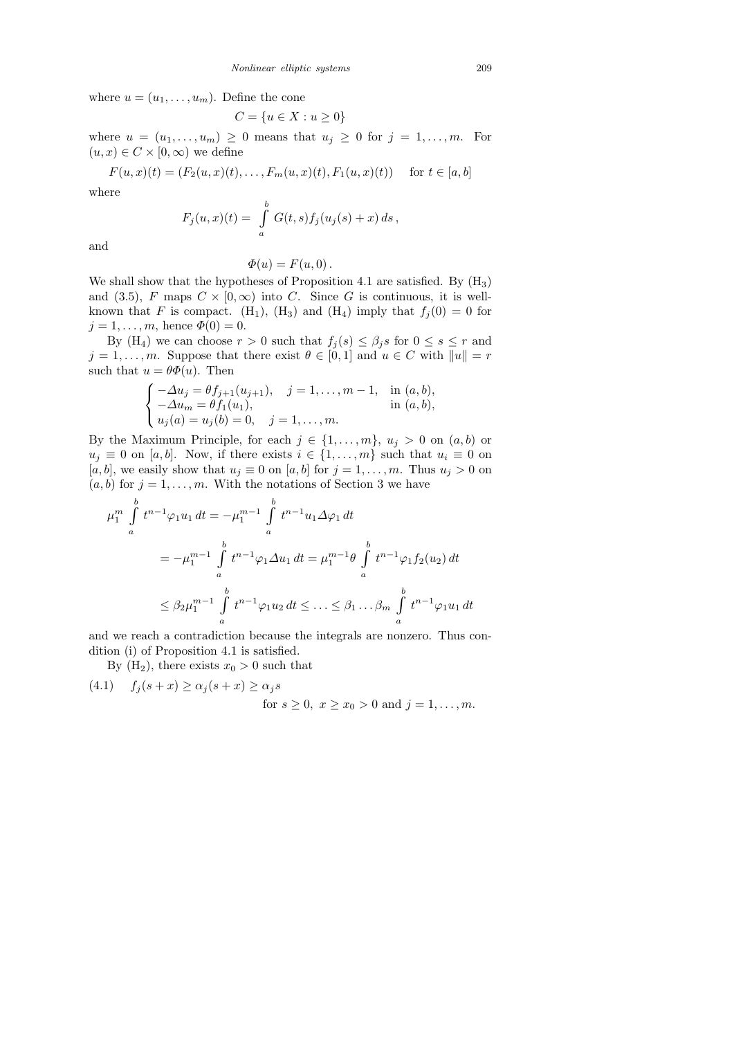where  $u = (u_1, \ldots, u_m)$ . Define the cone

$$
C = \{u \in X : u \ge 0\}
$$

where  $u = (u_1, \ldots, u_m) \geq 0$  means that  $u_j \geq 0$  for  $j = 1, \ldots, m$ . For  $(u, x) \in C \times [0, \infty)$  we define

$$
F(u, x)(t) = (F_2(u, x)(t), \dots, F_m(u, x)(t), F_1(u, x)(t)) \text{ for } t \in [a, b]
$$

where

$$
F_j(u, x)(t) = \int_a^b G(t, s) f_j(u_j(s) + x) \, ds \,,
$$

and

$$
\Phi(u) = F(u,0).
$$

We shall show that the hypotheses of Proposition 4.1 are satisfied. By  $(H_3)$ and (3.5), F maps  $C \times [0, \infty)$  into C. Since G is continuous, it is wellknown that F is compact. (H<sub>1</sub>), (H<sub>3</sub>) and (H<sub>4</sub>) imply that  $f_j(0) = 0$  for  $j = 1, ..., m$ , hence  $\Phi(0) = 0$ .

By (H<sub>4</sub>) we can choose  $r > 0$  such that  $f_j(s) \leq \beta_j s$  for  $0 \leq s \leq r$  and  $j = 1, \ldots, m$ . Suppose that there exist  $\theta \in [0, 1]$  and  $u \in C$  with  $||u|| = r$ such that  $u = \theta \Phi(u)$ . Then

$$
\begin{cases}\n-\Delta u_j = \theta f_{j+1}(u_{j+1}), & j = 1, ..., m-1, \text{ in } (a, b), \\
-\Delta u_m = \theta f_1(u_1), & \text{in } (a, b), \\
u_j(a) = u_j(b) = 0, & j = 1, ..., m.\n\end{cases}
$$

By the Maximum Principle, for each  $j \in \{1, \ldots, m\}$ ,  $u_j > 0$  on  $(a, b)$  or  $u_j \equiv 0$  on [a, b]. Now, if there exists  $i \in \{1, \ldots, m\}$  such that  $u_i \equiv 0$  on [a, b], we easily show that  $u_j \equiv 0$  on [a, b] for  $j = 1, \ldots, m$ . Thus  $u_j > 0$  on  $(a, b)$  for  $j = 1, \ldots, m$ . With the notations of Section 3 we have

$$
\mu_1^m \int_a^b t^{n-1} \varphi_1 u_1 dt = -\mu_1^{m-1} \int_a^b t^{n-1} u_1 \Delta \varphi_1 dt
$$
  
=  $-\mu_1^{m-1} \int_a^b t^{n-1} \varphi_1 \Delta u_1 dt = \mu_1^{m-1} \theta \int_a^b t^{n-1} \varphi_1 f_2(u_2) dt$   
 $\leq \beta_2 \mu_1^{m-1} \int_a^b t^{n-1} \varphi_1 u_2 dt \leq \dots \leq \beta_1 \dots \beta_m \int_a^b t^{n-1} \varphi_1 u_1 dt$ 

and we reach a contradiction because the integrals are nonzero. Thus condition (i) of Proposition 4.1 is satisfied.

By  $(H_2)$ , there exists  $x_0 > 0$  such that

(4.1) 
$$
f_j(s+x) \ge \alpha_j(s+x) \ge \alpha_j s
$$
  
for  $s \ge 0$ ,  $x \ge x_0 > 0$  and  $j = 1, ..., m$ .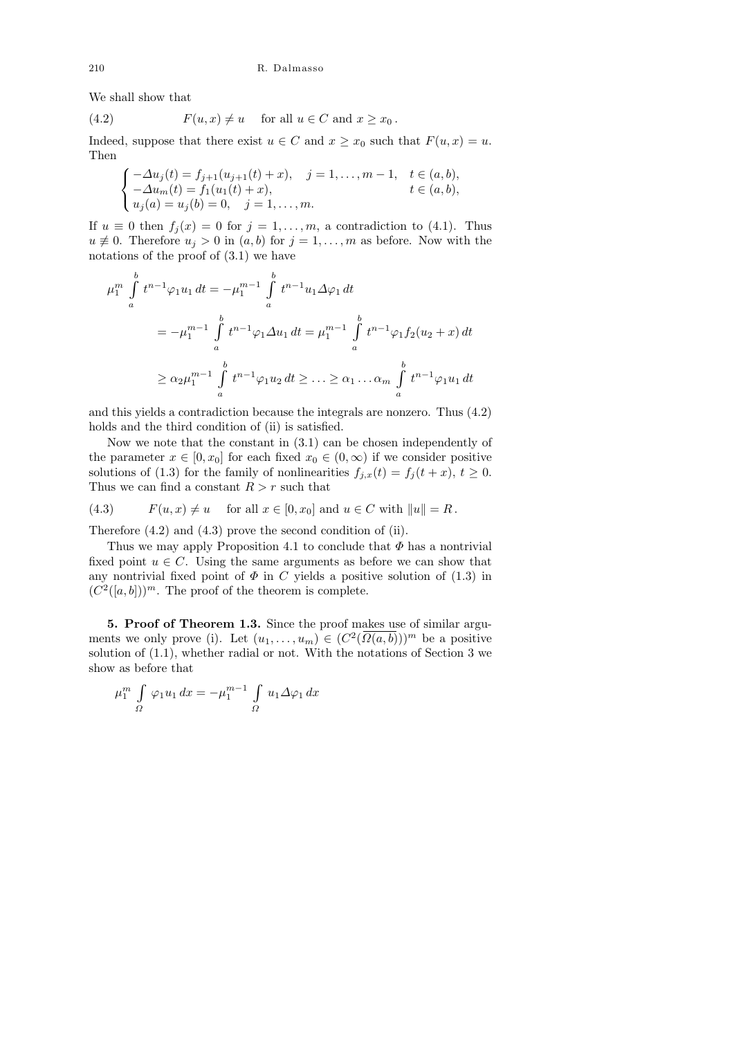We shall show that

(4.2) 
$$
F(u,x) \neq u \quad \text{for all } u \in C \text{ and } x \geq x_0.
$$

Indeed, suppose that there exist  $u \in C$  and  $x \geq x_0$  such that  $F(u, x) = u$ . Then

$$
\begin{cases}\n-\Delta u_j(t) = f_{j+1}(u_{j+1}(t) + x), & j = 1, ..., m-1, \quad t \in (a, b), \\
-\Delta u_m(t) = f_1(u_1(t) + x), & t \in (a, b), \\
u_j(a) = u_j(b) = 0, \quad j = 1, ..., m.\n\end{cases}
$$

If  $u \equiv 0$  then  $f_j(x) = 0$  for  $j = 1, \ldots, m$ , a contradiction to (4.1). Thus  $u \neq 0$ . Therefore  $u_j > 0$  in  $(a, b)$  for  $j = 1, \ldots, m$  as before. Now with the notations of the proof of (3.1) we have

$$
\mu_1^m \int_a^b t^{n-1} \varphi_1 u_1 dt = -\mu_1^{m-1} \int_a^b t^{n-1} u_1 \Delta \varphi_1 dt
$$
  
=  $-\mu_1^{m-1} \int_a^b t^{n-1} \varphi_1 \Delta u_1 dt = \mu_1^{m-1} \int_a^b t^{n-1} \varphi_1 f_2(u_2 + x) dt$   
 $\ge \alpha_2 \mu_1^{m-1} \int_a^b t^{n-1} \varphi_1 u_2 dt \ge \dots \ge \alpha_1 \dots \alpha_m \int_a^b t^{n-1} \varphi_1 u_1 dt$ 

and this yields a contradiction because the integrals are nonzero. Thus (4.2) holds and the third condition of (ii) is satisfied.

Now we note that the constant in (3.1) can be chosen independently of the parameter  $x \in [0, x_0]$  for each fixed  $x_0 \in (0, \infty)$  if we consider positive solutions of (1.3) for the family of nonlinearities  $f_{j,x}(t) = f_j(t+x), t \ge 0$ . Thus we can find a constant  $R > r$  such that

(4.3) 
$$
F(u, x) \neq u
$$
 for all  $x \in [0, x_0]$  and  $u \in C$  with  $||u|| = R$ .

Therefore (4.2) and (4.3) prove the second condition of (ii).

Thus we may apply Proposition 4.1 to conclude that  $\Phi$  has a nontrivial fixed point  $u \in C$ . Using the same arguments as before we can show that any nontrivial fixed point of  $\Phi$  in C yields a positive solution of (1.3) in  $(C^2([a, b]))^m$ . The proof of the theorem is complete.

5. Proof of Theorem 1.3. Since the proof makes use of similar arguments we only prove (i). Let  $(u_1, \ldots, u_m) \in (C^2(\overline{\Omega(a, b)}))^m$  be a positive solution of (1.1), whether radial or not. With the notations of Section 3 we show as before that

$$
\mu_1^m \int\limits_{\Omega} \varphi_1 u_1 dx = -\mu_1^{m-1} \int\limits_{\Omega} u_1 \Delta \varphi_1 dx
$$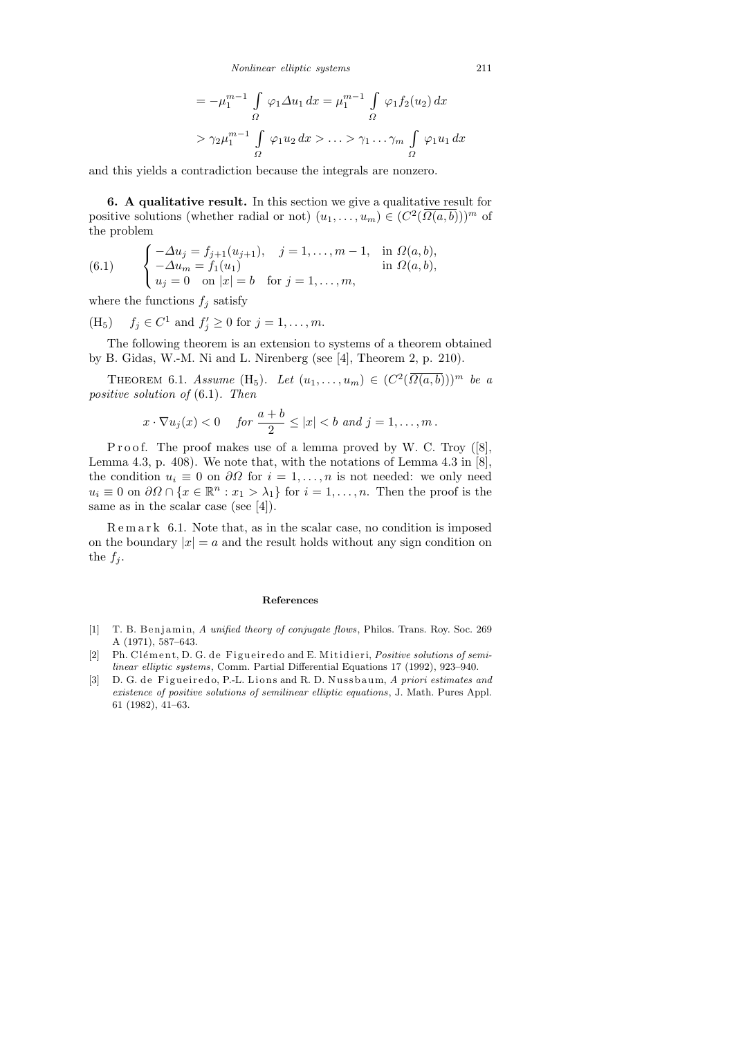$$
= -\mu_1^{m-1} \int_{\Omega} \varphi_1 \Delta u_1 dx = \mu_1^{m-1} \int_{\Omega} \varphi_1 f_2(u_2) dx
$$
  
>  $\gamma_2 \mu_1^{m-1} \int_{\Omega} \varphi_1 u_2 dx > \dots > \gamma_1 \dots \gamma_m \int_{\Omega} \varphi_1 u_1 dx$ 

and this yields a contradiction because the integrals are nonzero.

6. A qualitative result. In this section we give a qualitative result for positive solutions (whether radial or not)  $(u_1, \ldots, u_m) \in (C^2(\overline{\Omega(a, b)}))^m$  of the problem

(6.1) 
$$
\begin{cases}\n-\Delta u_j = f_{j+1}(u_{j+1}), & j = 1, ..., m-1, \text{ in } \Omega(a, b), \\
-\Delta u_m = f_1(u_1) & \text{ in } \Omega(a, b), \\
u_j = 0 & \text{ on } |x| = b \text{ for } j = 1, ..., m,\n\end{cases}
$$

where the functions  $f_j$  satisfy

(H<sub>5</sub>)  $f_j \in C^1$  and  $f'_j \ge 0$  for  $j = 1, ..., m$ .

The following theorem is an extension to systems of a theorem obtained by B. Gidas, W.-M. Ni and L. Nirenberg (see [4], Theorem 2, p. 210).

THEOREM 6.1. Assume  $(H_5)$ . Let  $(u_1, \ldots, u_m) \in (C^2(\overline{\Omega(a,b)}))^m$  be a positive solution of (6.1). Then

$$
x\cdot \nabla u_j(x) < 0 \quad \text{for } \frac{a+b}{2} \leq |x| < b \text{ and } j = 1, \dots, m \, .
$$

Proof. The proof makes use of a lemma proved by W. C. Troy  $([8],$ Lemma 4.3, p. 408). We note that, with the notations of Lemma 4.3 in  $[8]$ , the condition  $u_i \equiv 0$  on  $\partial\Omega$  for  $i = 1, \ldots, n$  is not needed: we only need  $u_i \equiv 0$  on  $\partial\Omega \cap \{x \in \mathbb{R}^n : x_1 > \lambda_1\}$  for  $i = 1, \ldots, n$ . Then the proof is the same as in the scalar case (see [4]).

R e m a r k 6.1. Note that, as in the scalar case, no condition is imposed on the boundary  $|x| = a$  and the result holds without any sign condition on the  $f_j$ .

### **References**

- [1] T. B. B en jamin, *A unified theory of conjugate flows*, Philos. Trans. Roy. Soc. 269 A (1971), 587–643.
- [2] Ph. Clément, D. G. de Figueiredo and E. Mitidieri, *Positive solutions of semilinear elliptic systems*, Comm. Partial Differential Equations 17 (1992), 923–940.
- [3] D. G. de Figueiredo, P.-L. Lions and R. D. Nussbaum, A priori estimates and *existence of positive solutions of semilinear elliptic equations* , J. Math. Pures Appl. 61 (1982), 41–63.